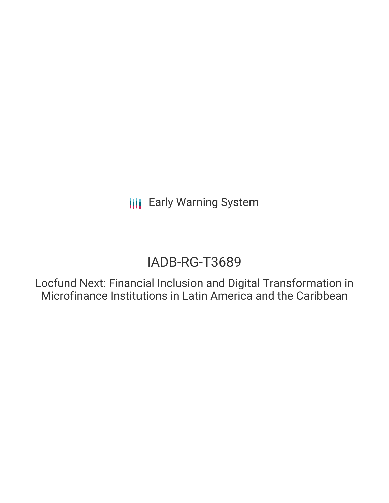**III** Early Warning System

# IADB-RG-T3689

Locfund Next: Financial Inclusion and Digital Transformation in Microfinance Institutions in Latin America and the Caribbean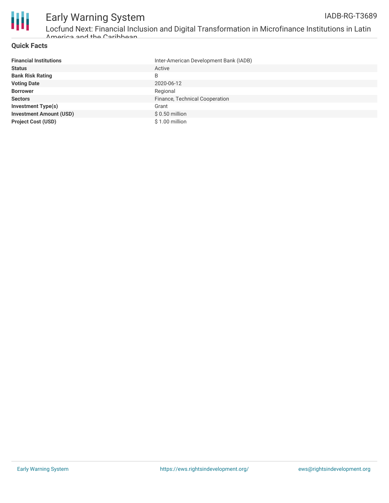

## **Quick Facts**

| <b>Financial Institutions</b>  | Inter-American Development Bank (IADB) |
|--------------------------------|----------------------------------------|
| <b>Status</b>                  | Active                                 |
| <b>Bank Risk Rating</b>        | B                                      |
| <b>Voting Date</b>             | 2020-06-12                             |
| <b>Borrower</b>                | Regional                               |
| <b>Sectors</b>                 | Finance, Technical Cooperation         |
| <b>Investment Type(s)</b>      | Grant                                  |
| <b>Investment Amount (USD)</b> | $$0.50$ million                        |
| <b>Project Cost (USD)</b>      | $$1.00$ million                        |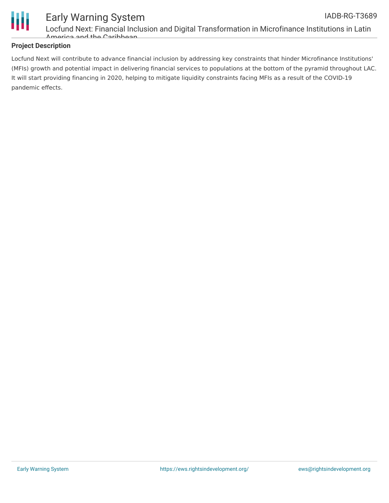

#### Early Warning System Locfund Next: Financial Inclusion and Digital Transformation in Microfinance Institutions in Latin America and the Caribbean IADB-RG-T3689

# **Project Description**

Locfund Next will contribute to advance financial inclusion by addressing key constraints that hinder Microfinance Institutions' (MFIs) growth and potential impact in delivering financial services to populations at the bottom of the pyramid throughout LAC. It will start providing financing in 2020, helping to mitigate liquidity constraints facing MFIs as a result of the COVID-19 pandemic effects.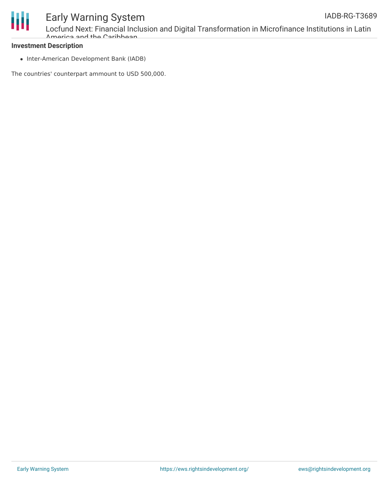

# **Investment Description**

• Inter-American Development Bank (IADB)

The countries' counterpart ammount to USD 500,000.